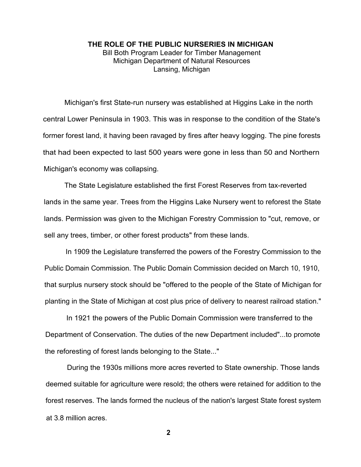## **THE ROLE OF THE PUBLIC NURSERIES IN MICHIGAN** Bill Both Program Leader for Timber Management Michigan Department of Natural Resources Lansing, Michigan

Michigan's first State-run nursery was established at Higgins Lake in the north central Lower Peninsula in 1903. This was in response to the condition of the State's former forest land, it having been ravaged by fires after heavy logging. The pine forests that had been expected to last 500 years were gone in less than 50 and Northern Michigan's economy was collapsing.

The State Legislature established the first Forest Reserves from tax-reverted lands in the same year. Trees from the Higgins Lake Nursery went to reforest the State lands. Permission was given to the Michigan Forestry Commission to "cut, remove, or sell any trees, timber, or other forest products" from these lands.

In 1909 the Legislature transferred the powers of the Forestry Commission to the Public Domain Commission. The Public Domain Commission decided on March 10, 1910, that surplus nursery stock should be "offered to the people of the State of Michigan for planting in the State of Michigan at cost plus price of delivery to nearest railroad station."

In 1921 the powers of the Public Domain Commission were transferred to the Department of Conservation. The duties of the new Department included"...to promote the reforesting of forest lands belonging to the State..."

During the 1930s millions more acres reverted to State ownership. Those lands deemed suitable for agriculture were resold; the others were retained for addition to the forest reserves. The lands formed the nucleus of the nation's largest State forest system at 3.8 million acres.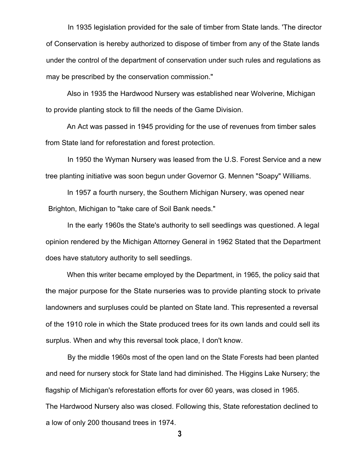In 1935 legislation provided for the sale of timber from State lands. 'The director of Conservation is hereby authorized to dispose of timber from any of the State lands under the control of the department of conservation under such rules and regulations as may be prescribed by the conservation commission."

Also in 1935 the Hardwood Nursery was established near Wolverine, Michigan to provide planting stock to fill the needs of the Game Division.

An Act was passed in 1945 providing for the use of revenues from timber sales from State land for reforestation and forest protection.

In 1950 the Wyman Nursery was leased from the U.S. Forest Service and a new tree planting initiative was soon begun under Governor G. Mennen "Soapy" Williams.

In 1957 a fourth nursery, the Southern Michigan Nursery, was opened near Brighton, Michigan to "take care of Soil Bank needs."

In the early 1960s the State's authority to sell seedlings was questioned. A legal opinion rendered by the Michigan Attorney General in 1962 Stated that the Department does have statutory authority to sell seedlings.

When this writer became employed by the Department, in 1965, the policy said that the major purpose for the State nurseries was to provide planting stock to private landowners and surpluses could be planted on State land. This represented a reversal of the 1910 role in which the State produced trees for its own lands and could sell its surplus. When and why this reversal took place, I don't know.

By the middle 1960s most of the open land on the State Forests had been planted and need for nursery stock for State land had diminished. The Higgins Lake Nursery; the flagship of Michigan's reforestation efforts for over 60 years, was closed in 1965. The Hardwood Nursery also was closed. Following this, State reforestation declined to a low of only 200 thousand trees in 1974.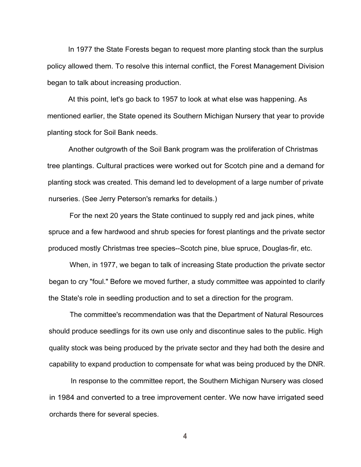In 1977 the State Forests began to request more planting stock than the surplus policy allowed them. To resolve this internal conflict, the Forest Management Division began to talk about increasing production.

At this point, let's go back to 1957 to look at what else was happening. As mentioned earlier, the State opened its Southern Michigan Nursery that year to provide planting stock for Soil Bank needs.

Another outgrowth of the Soil Bank program was the proliferation of Christmas tree plantings. Cultural practices were worked out for Scotch pine and a demand for planting stock was created. This demand led to development of a large number of private nurseries. (See Jerry Peterson's remarks for details.)

For the next 20 years the State continued to supply red and jack pines, white spruce and a few hardwood and shrub species for forest plantings and the private sector produced mostly Christmas tree species--Scotch pine, blue spruce, Douglas-fir, etc.

When, in 1977, we began to talk of increasing State production the private sector began to cry "foul." Before we moved further, a study committee was appointed to clarify the State's role in seedling production and to set a direction for the program.

The committee's recommendation was that the Department of Natural Resources should produce seedlings for its own use only and discontinue sales to the public. High quality stock was being produced by the private sector and they had both the desire and capability to expand production to compensate for what was being produced by the DNR.

In response to the committee report, the Southern Michigan Nursery was closed in 1984 and converted to a tree improvement center. We now have irrigated seed orchards there for several species.